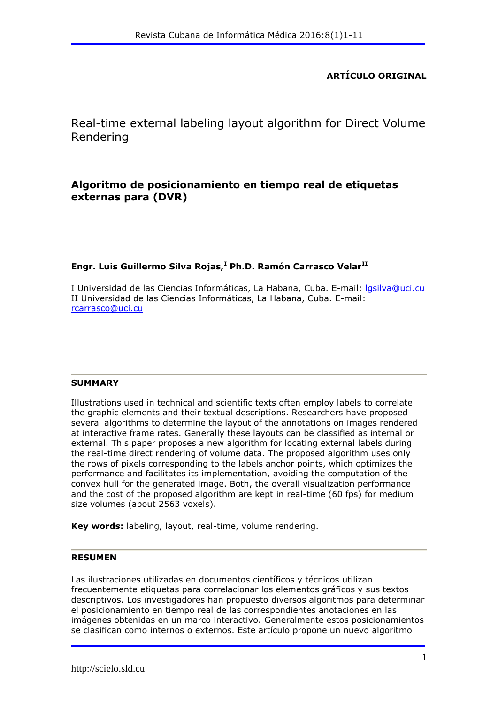# **ARTÍCULO ORIGINAL**

Real-time external labeling layout algorithm for Direct Volume Rendering

# **Algoritmo de posicionamiento en tiempo real de etiquetas externas para (DVR)**

### **Engr. Luis Guillermo Silva Rojas,<sup>I</sup> Ph.D. Ramón Carrasco VelarII**

I Universidad de las Ciencias Informáticas, La Habana, Cuba. E-mail: [lgsilva@uci.cu](mailto:lgsilva@uci.cu) II Universidad de las Ciencias Informáticas, La Habana, Cuba. E-mail: [rcarrasco@uci.cu](mailto:rcarrasco@uci.cu)

### **SUMMARY**

Illustrations used in technical and scientific texts often employ labels to correlate the graphic elements and their textual descriptions. Researchers have proposed several algorithms to determine the layout of the annotations on images rendered at interactive frame rates. Generally these layouts can be classified as internal or external. This paper proposes a new algorithm for locating external labels during the real-time direct rendering of volume data. The proposed algorithm uses only the rows of pixels corresponding to the labels anchor points, which optimizes the performance and facilitates its implementation, avoiding the computation of the convex hull for the generated image. Both, the overall visualization performance and the cost of the proposed algorithm are kept in real-time (60 fps) for medium size volumes (about 2563 voxels).

**Key words:** labeling, layout, real-time, volume rendering.

#### **RESUMEN**

Las ilustraciones utilizadas en documentos científicos y técnicos utilizan frecuentemente etiquetas para correlacionar los elementos gráficos y sus textos descriptivos. Los investigadores han propuesto diversos algoritmos para determinar el posicionamiento en tiempo real de las correspondientes anotaciones en las imágenes obtenidas en un marco interactivo. Generalmente estos posicionamientos se clasifican como internos o externos. Este artículo propone un nuevo algoritmo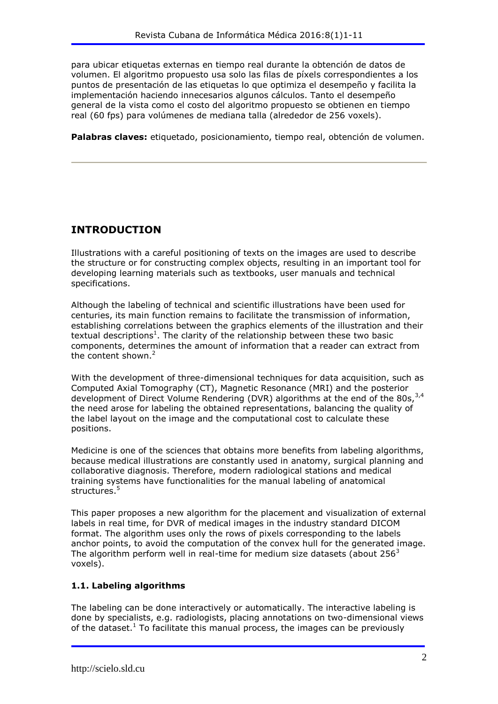para ubicar etiquetas externas en tiempo real durante la obtención de datos de volumen. El algoritmo propuesto usa solo las filas de píxels correspondientes a los puntos de presentación de las etiquetas lo que optimiza el desempeño y facilita la implementación haciendo innecesarios algunos cálculos. Tanto el desempeño general de la vista como el costo del algoritmo propuesto se obtienen en tiempo real (60 fps) para volúmenes de mediana talla (alrededor de 256 voxels).

**Palabras claves:** etiquetado, posicionamiento, tiempo real, obtención de volumen.

# **INTRODUCTION**

Illustrations with a careful positioning of texts on the images are used to describe the structure or for constructing complex objects, resulting in an important tool for developing learning materials such as textbooks, user manuals and technical specifications.

Although the labeling of technical and scientific illustrations have been used for centuries, its main function remains to facilitate the transmission of information, establishing correlations between the graphics elements of the illustration and their textual descriptions<sup>1</sup>. The clarity of the relationship between these two basic components, determines the amount of information that a reader can extract from the content shown.<sup>2</sup>

With the development of three-dimensional techniques for data acquisition, such as Computed Axial Tomography (CT), Magnetic Resonance (MRI) and the posterior development of Direct Volume Rendering (DVR) algorithms at the end of the 80s,  $3,4$ the need arose for labeling the obtained representations, balancing the quality of the label layout on the image and the computational cost to calculate these positions.

Medicine is one of the sciences that obtains more benefits from labeling algorithms, because medical illustrations are constantly used in anatomy, surgical planning and collaborative diagnosis. Therefore, modern radiological stations and medical training systems have functionalities for the manual labeling of anatomical structures.<sup>5</sup>

This paper proposes a new algorithm for the placement and visualization of external labels in real time, for DVR of medical images in the industry standard DICOM format. The algorithm uses only the rows of pixels corresponding to the labels anchor points, to avoid the computation of the convex hull for the generated image. The algorithm perform well in real-time for medium size datasets (about  $256<sup>3</sup>$ voxels).

# **1.1. Labeling algorithms**

The labeling can be done interactively or automatically. The interactive labeling is done by specialists, e.g. radiologists, placing annotations on two-dimensional views of the dataset.<sup>1</sup> To facilitate this manual process, the images can be previously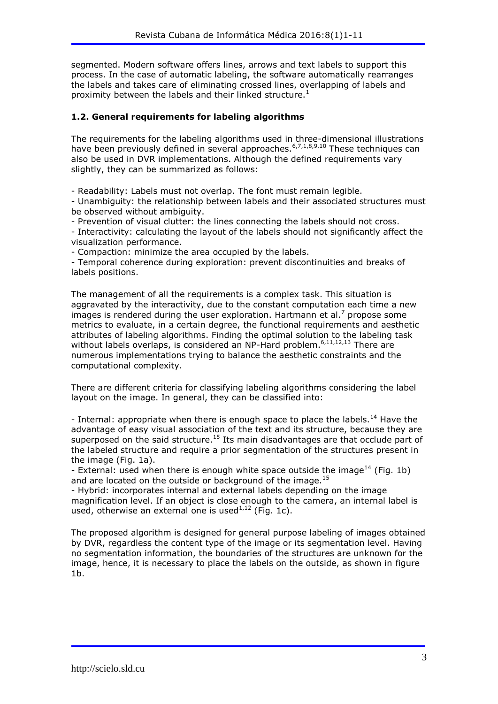segmented. Modern software offers lines, arrows and text labels to support this process. In the case of automatic labeling, the software automatically rearranges the labels and takes care of eliminating crossed lines, overlapping of labels and proximity between the labels and their linked structure.<sup>1</sup>

### **1.2. General requirements for labeling algorithms**

The requirements for the labeling algorithms used in three-dimensional illustrations have been previously defined in several approaches.  $6,7,1,8,9,10$  These techniques can also be used in DVR implementations. Although the defined requirements vary slightly, they can be summarized as follows:

- Readability: Labels must not overlap. The font must remain legible.

- Unambiguity: the relationship between labels and their associated structures must be observed without ambiguity.

- Prevention of visual clutter: the lines connecting the labels should not cross.

- Interactivity: calculating the layout of the labels should not significantly affect the visualization performance.

- Compaction: minimize the area occupied by the labels.

- Temporal coherence during exploration: prevent discontinuities and breaks of labels positions.

The management of all the requirements is a complex task. This situation is aggravated by the interactivity, due to the constant computation each time a new images is rendered during the user exploration. Hartmann et al.<sup>7</sup> propose some metrics to evaluate, in a certain degree, the functional requirements and aesthetic attributes of labeling algorithms. Finding the optimal solution to the labeling task without labels overlaps, is considered an NP-Hard problem.<sup>6,11,12,13</sup> There are numerous implementations trying to balance the aesthetic constraints and the computational complexity.

There are different criteria for classifying labeling algorithms considering the label layout on the image. In general, they can be classified into:

- Internal: appropriate when there is enough space to place the labels.<sup>14</sup> Have the advantage of easy visual association of the text and its structure, because they are superposed on the said structure.<sup>15</sup> Its main disadvantages are that occlude part of the labeled structure and require a prior segmentation of the structures present in the image (Fig. 1a).

- External: used when there is enough white space outside the image<sup>14</sup> (Fig. 1b) and are located on the outside or background of the image.<sup>15</sup>

- Hybrid: incorporates internal and external labels depending on the image magnification level. If an object is close enough to the camera, an internal label is used, otherwise an external one is used $^{1,12}$  (Fig. 1c).

The proposed algorithm is designed for general purpose labeling of images obtained by DVR, regardless the content type of the image or its segmentation level. Having no segmentation information, the boundaries of the structures are unknown for the image, hence, it is necessary to place the labels on the outside, as shown in figure  $1<sub>b</sub>$ .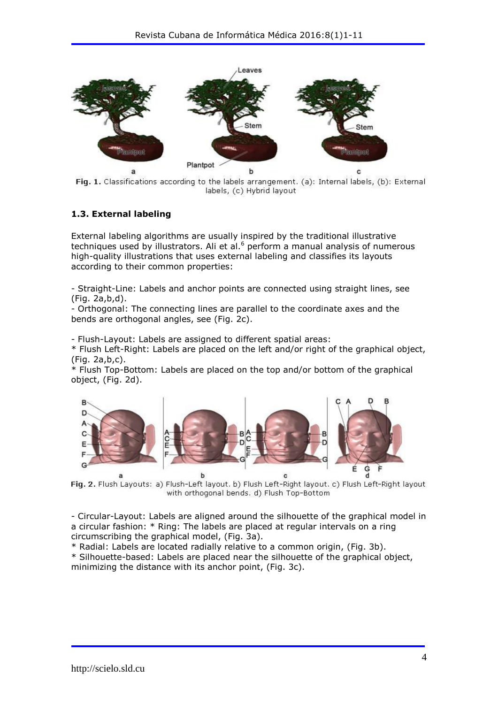

Fig. 1. Classifications according to the labels arrangement. (a): Internal labels, (b): External labels, (c) Hybrid layout

#### **1.3. External labeling**

External labeling algorithms are usually inspired by the traditional illustrative techniques used by illustrators. Ali et al. $6$  perform a manual analysis of numerous high-quality illustrations that uses external labeling and classifies its layouts according to their common properties:

- Straight-Line: Labels and anchor points are connected using straight lines, see (Fig. 2a,b,d).

- Orthogonal: The connecting lines are parallel to the coordinate axes and the bends are orthogonal angles, see (Fig. 2c).

- Flush-Layout: Labels are assigned to different spatial areas:

\* Flush Left-Right: Labels are placed on the left and/or right of the graphical object, (Fig. 2a,b,c).

\* Flush Top-Bottom: Labels are placed on the top and/or bottom of the graphical object, (Fig. 2d).



Fig. 2. Flush Layouts: a) Flush-Left layout. b) Flush Left-Right layout. c) Flush Left-Right layout with orthogonal bends, d) Flush Top-Bottom

- Circular-Layout: Labels are aligned around the silhouette of the graphical model in a circular fashion: \* Ring: The labels are placed at regular intervals on a ring circumscribing the graphical model, (Fig. 3a).

\* Radial: Labels are located radially relative to a common origin, (Fig. 3b).

\* Silhouette-based: Labels are placed near the silhouette of the graphical object, minimizing the distance with its anchor point, (Fig. 3c).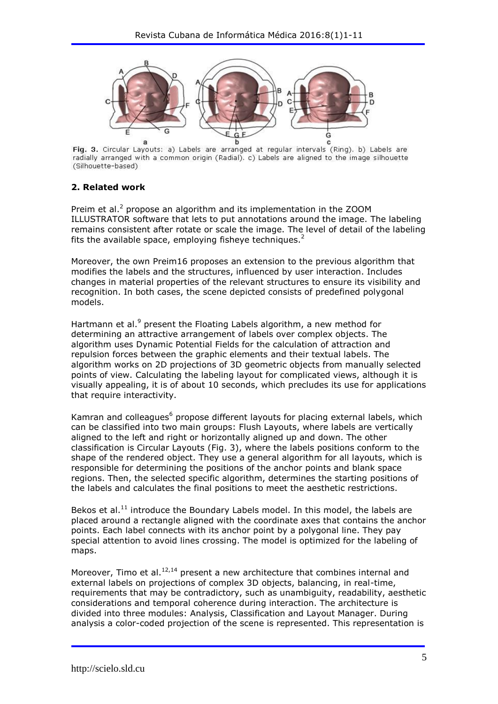

Fig. 3. Circular Layouts: a) Labels are arranged at regular intervals (Ring). b) Labels are radially arranged with a common origin (Radial). c) Labels are aligned to the image silhouette (Silhouette-based)

# **2. Related work**

Preim et al. $<sup>2</sup>$  propose an algorithm and its implementation in the ZOOM</sup> ILLUSTRATOR software that lets to put annotations around the image. The labeling remains consistent after rotate or scale the image. The level of detail of the labeling fits the available space, employing fisheye techniques.<sup>2</sup>

Moreover, the own Preim16 proposes an extension to the previous algorithm that modifies the labels and the structures, influenced by user interaction. Includes changes in material properties of the relevant structures to ensure its visibility and recognition. In both cases, the scene depicted consists of predefined polygonal models.

Hartmann et al.<sup>9</sup> present the Floating Labels algorithm, a new method for determining an attractive arrangement of labels over complex objects. The algorithm uses Dynamic Potential Fields for the calculation of attraction and repulsion forces between the graphic elements and their textual labels. The algorithm works on 2D projections of 3D geometric objects from manually selected points of view. Calculating the labeling layout for complicated views, although it is visually appealing, it is of about 10 seconds, which precludes its use for applications that require interactivity.

Kamran and colleagues<sup>6</sup> propose different layouts for placing external labels, which can be classified into two main groups: Flush Layouts, where labels are vertically aligned to the left and right or horizontally aligned up and down. The other classification is Circular Layouts (Fig. 3), where the labels positions conform to the shape of the rendered object. They use a general algorithm for all layouts, which is responsible for determining the positions of the anchor points and blank space regions. Then, the selected specific algorithm, determines the starting positions of the labels and calculates the final positions to meet the aesthetic restrictions.

Bekos et al. $<sup>11</sup>$  introduce the Boundary Labels model. In this model, the labels are</sup> placed around a rectangle aligned with the coordinate axes that contains the anchor points. Each label connects with its anchor point by a polygonal line. They pay special attention to avoid lines crossing. The model is optimized for the labeling of maps.

Moreover. Timo et al. $^{12,14}$  present a new architecture that combines internal and external labels on projections of complex 3D objects, balancing, in real-time, requirements that may be contradictory, such as unambiguity, readability, aesthetic considerations and temporal coherence during interaction. The architecture is divided into three modules: Analysis, Classification and Layout Manager. During analysis a color-coded projection of the scene is represented. This representation is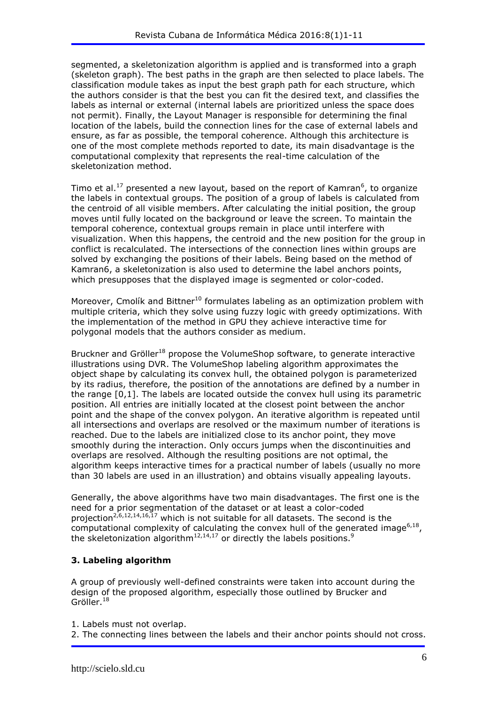segmented, a skeletonization algorithm is applied and is transformed into a graph (skeleton graph). The best paths in the graph are then selected to place labels. The classification module takes as input the best graph path for each structure, which the authors consider is that the best you can fit the desired text, and classifies the labels as internal or external (internal labels are prioritized unless the space does not permit). Finally, the Layout Manager is responsible for determining the final location of the labels, build the connection lines for the case of external labels and ensure, as far as possible, the temporal coherence. Although this architecture is one of the most complete methods reported to date, its main disadvantage is the computational complexity that represents the real-time calculation of the skeletonization method.

Timo et al.<sup>17</sup> presented a new layout, based on the report of Kamran<sup>6</sup>, to organize the labels in contextual groups. The position of a group of labels is calculated from the centroid of all visible members. After calculating the initial position, the group moves until fully located on the background or leave the screen. To maintain the temporal coherence, contextual groups remain in place until interfere with visualization. When this happens, the centroid and the new position for the group in conflict is recalculated. The intersections of the connection lines within groups are solved by exchanging the positions of their labels. Being based on the method of Kamran6, a skeletonization is also used to determine the label anchors points, which presupposes that the displayed image is segmented or color-coded.

Moreover, Cmolík and Bittner<sup>10</sup> formulates labeling as an optimization problem with multiple criteria, which they solve using fuzzy logic with greedy optimizations. With the implementation of the method in GPU they achieve interactive time for polygonal models that the authors consider as medium.

Bruckner and Gröller<sup>18</sup> propose the VolumeShop software, to generate interactive illustrations using DVR. The VolumeShop labeling algorithm approximates the object shape by calculating its convex hull, the obtained polygon is parameterized by its radius, therefore, the position of the annotations are defined by a number in the range [0,1]. The labels are located outside the convex hull using its parametric position. All entries are initially located at the closest point between the anchor point and the shape of the convex polygon. An iterative algorithm is repeated until all intersections and overlaps are resolved or the maximum number of iterations is reached. Due to the labels are initialized close to its anchor point, they move smoothly during the interaction. Only occurs jumps when the discontinuities and overlaps are resolved. Although the resulting positions are not optimal, the algorithm keeps interactive times for a practical number of labels (usually no more than 30 labels are used in an illustration) and obtains visually appealing layouts.

Generally, the above algorithms have two main disadvantages. The first one is the need for a prior segmentation of the dataset or at least a color-coded proiection<sup>2,6,12,14,16,17</sup> which is not suitable for all datasets. The second is the computational complexity of calculating the convex hull of the generated image<sup>6,18</sup>, the skeletonization algorithm<sup>12,14,17</sup> or directly the labels positions.<sup>9</sup>

# **3. Labeling algorithm**

A group of previously well-defined constraints were taken into account during the design of the proposed algorithm, especially those outlined by Brucker and Gröller.<sup>18</sup>

1. Labels must not overlap.

2. The connecting lines between the labels and their anchor points should not cross.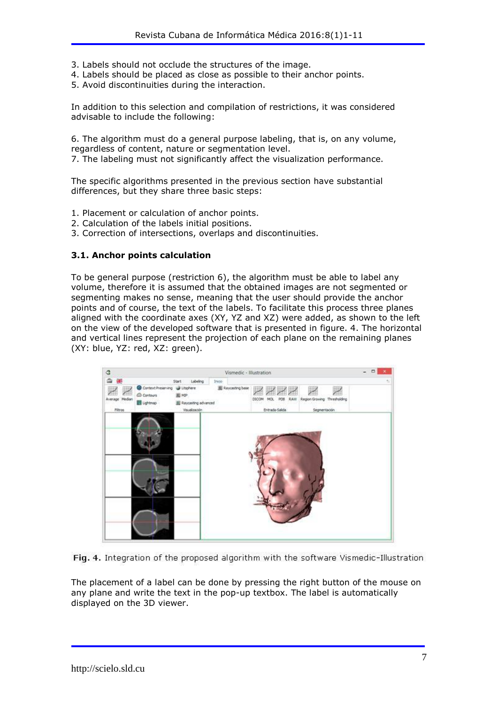- 3. Labels should not occlude the structures of the image.
- 4. Labels should be placed as close as possible to their anchor points.
- 5. Avoid discontinuities during the interaction.

In addition to this selection and compilation of restrictions, it was considered advisable to include the following:

6. The algorithm must do a general purpose labeling, that is, on any volume, regardless of content, nature or segmentation level.

7. The labeling must not significantly affect the visualization performance.

The specific algorithms presented in the previous section have substantial differences, but they share three basic steps:

- 1. Placement or calculation of anchor points.
- 2. Calculation of the labels initial positions.
- 3. Correction of intersections, overlaps and discontinuities.

### **3.1. Anchor points calculation**

To be general purpose (restriction 6), the algorithm must be able to label any volume, therefore it is assumed that the obtained images are not segmented or segmenting makes no sense, meaning that the user should provide the anchor points and of course, the text of the labels. To facilitate this process three planes aligned with the coordinate axes (XY, YZ and XZ) were added, as shown to the left on the view of the developed software that is presented in figure. 4. The horizontal and vertical lines represent the projection of each plane on the remaining planes (XY: blue, YZ: red, XZ: green).



Fig. 4. Integration of the proposed algorithm with the software Vismedic-Illustration

The placement of a label can be done by pressing the right button of the mouse on any plane and write the text in the pop-up textbox. The label is automatically displayed on the 3D viewer.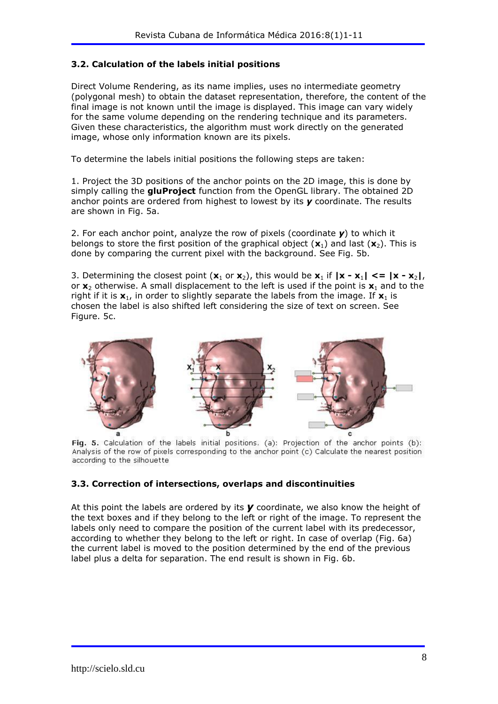### **3.2. Calculation of the labels initial positions**

Direct Volume Rendering, as its name implies, uses no intermediate geometry (polygonal mesh) to obtain the dataset representation, therefore, the content of the final image is not known until the image is displayed. This image can vary widely for the same volume depending on the rendering technique and its parameters. Given these characteristics, the algorithm must work directly on the generated image, whose only information known are its pixels.

To determine the labels initial positions the following steps are taken:

1. Project the 3D positions of the anchor points on the 2D image, this is done by simply calling the **gluProject** function from the OpenGL library. The obtained 2D anchor points are ordered from highest to lowest by its *y* coordinate. The results are shown in Fig. 5a.

2. For each anchor point, analyze the row of pixels (coordinate *y*) to which it belongs to store the first position of the graphical object  $(\mathbf{x}_1)$  and last  $(\mathbf{x}_2)$ . This is done by comparing the current pixel with the background. See Fig. 5b.

3. Determining the closest point  $(\mathbf{x}_1 \text{ or } \mathbf{x}_2)$ , this would be  $\mathbf{x}_1$  if  $|\mathbf{x} - \mathbf{x}_1| \leq |x - x_2|$ , or  $x_2$  otherwise. A small displacement to the left is used if the point is  $x_1$  and to the right if it is  $\mathbf{x}_1$ , in order to slightly separate the labels from the image. If  $\mathbf{x}_1$  is chosen the label is also shifted left considering the size of text on screen. See Figure. 5c.



Fig. 5. Calculation of the labels initial positions. (a): Projection of the anchor points (b): Analysis of the row of pixels corresponding to the anchor point (c) Calculate the nearest position according to the silhouette

### **3.3. Correction of intersections, overlaps and discontinuities**

At this point the labels are ordered by its *y* coordinate, we also know the height of the text boxes and if they belong to the left or right of the image. To represent the labels only need to compare the position of the current label with its predecessor, according to whether they belong to the left or right. In case of overlap (Fig. 6a) the current label is moved to the position determined by the end of the previous label plus a delta for separation. The end result is shown in Fig. 6b.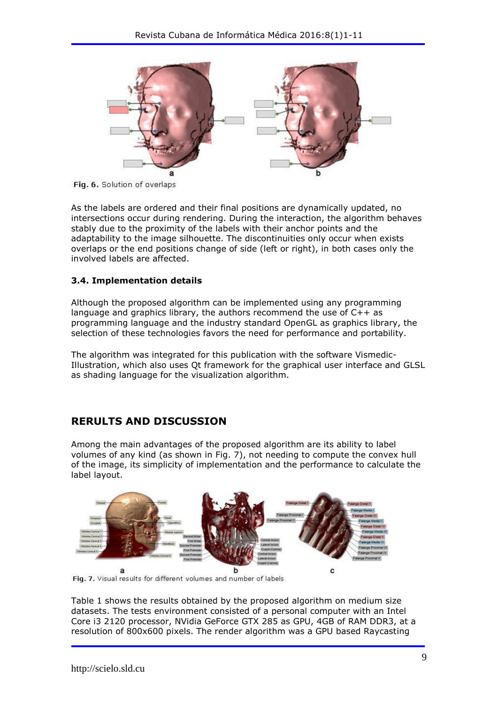

Fig. 6. Solution of overlaps

As the labels are ordered and their final positions are dynamically updated, no intersections occur during rendering. During the interaction, the algorithm behaves stably due to the proximity of the labels with their anchor points and the adaptability to the image silhouette. The discontinuities only occur when exists overlaps or the end positions change of side (left or right), in both cases only the involved labels are affected.

### **3.4. Implementation details**

Although the proposed algorithm can be implemented using any programming language and graphics library, the authors recommend the use of C++ as programming language and the industry standard OpenGL as graphics library, the selection of these technologies favors the need for performance and portability.

The algorithm was integrated for this publication with the software Vismedic-Illustration, which also uses Qt framework for the graphical user interface and GLSL as shading language for the visualization algorithm.

# **RERULTS AND DISCUSSION**

Among the main advantages of the proposed algorithm are its ability to label volumes of any kind (as shown in Fig. 7), not needing to compute the convex hull of the image, its simplicity of implementation and the performance to calculate the label layout.



Fig. 7. Visual results for different volumes and number of labels

Table 1 shows the results obtained by the proposed algorithm on medium size datasets. The tests environment consisted of a personal computer with an Intel Core i3 2120 processor, NVidia GeForce GTX 285 as GPU, 4GB of RAM DDR3, at a resolution of 800x600 pixels. The render algorithm was a GPU based Raycasting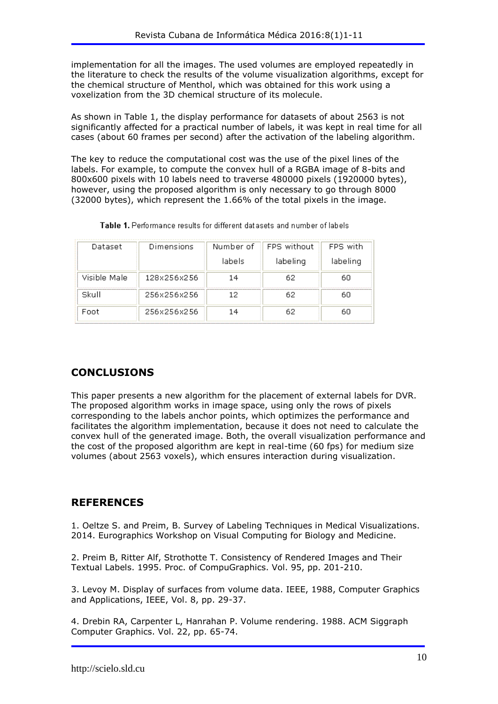implementation for all the images. The used volumes are employed repeatedly in the literature to check the results of the volume visualization algorithms, except for the chemical structure of Menthol, which was obtained for this work using a voxelization from the 3D chemical structure of its molecule.

As shown in Table 1, the display performance for datasets of about 2563 is not significantly affected for a practical number of labels, it was kept in real time for all cases (about 60 frames per second) after the activation of the labeling algorithm.

The key to reduce the computational cost was the use of the pixel lines of the labels. For example, to compute the convex hull of a RGBA image of 8-bits and 800x600 pixels with 10 labels need to traverse 480000 pixels (1920000 bytes), however, using the proposed algorithm is only necessary to go through 8000 (32000 bytes), which represent the 1.66% of the total pixels in the image.

| Dataset      | Dimensions  |         | Number of ill FPS without | FPS with |
|--------------|-------------|---------|---------------------------|----------|
|              |             | lahelsi | labeling                  | labeling |
| Visible Male | 128x256x256 |         |                           |          |
| Skull        | 256x256x256 |         |                           |          |
| Ennt         | 256x256x256 |         |                           |          |

Table 1. Performance results for different datasets and number of labels

# **CONCLUSIONS**

This paper presents a new algorithm for the placement of external labels for DVR. The proposed algorithm works in image space, using only the rows of pixels corresponding to the labels anchor points, which optimizes the performance and facilitates the algorithm implementation, because it does not need to calculate the convex hull of the generated image. Both, the overall visualization performance and the cost of the proposed algorithm are kept in real-time (60 fps) for medium size volumes (about 2563 voxels), which ensures interaction during visualization.

# **REFERENCES**

1. Oeltze S. and Preim, B. Survey of Labeling Techniques in Medical Visualizations. 2014. Eurographics Workshop on Visual Computing for Biology and Medicine.

2. Preim B, Ritter Alf, Strothotte T. Consistency of Rendered Images and Their Textual Labels. 1995. Proc. of CompuGraphics. Vol. 95, pp. 201-210.

3. Levoy M. Display of surfaces from volume data. IEEE, 1988, Computer Graphics and Applications, IEEE, Vol. 8, pp. 29-37.

4. Drebin RA, Carpenter L, Hanrahan P. Volume rendering. 1988. ACM Siggraph Computer Graphics. Vol. 22, pp. 65-74.